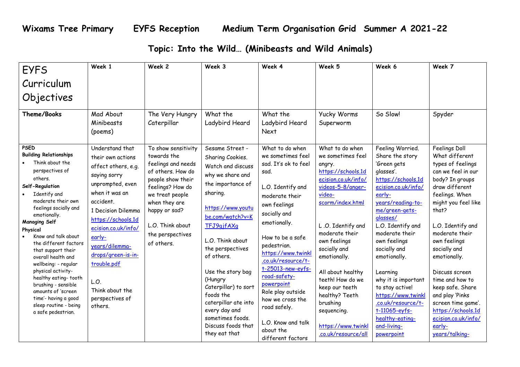## **Topic: Into the Wild… (Minibeasts and Wild Animals)**

| <b>EYFS</b>                                                                                                                                                                                                                                                                                                                                                                                                                                                                                                               | Week 1                                                                                                                                                                                                                                                                                                                      | Week 2                                                                                                                                                                                                                            | Week 3                                                                                                                                                                                                                                                                                                                                                                                              | Week 4                                                                                                                                                                                                                                                                                                                                                                                                         | Week 5                                                                                                                                                                                                                                                                                                                                                                                     | Week 6                                                                                                                                                                                                                                                                                                                                                                                                                                | Week 7                                                                                                                                                                                                                                                                                                                                                                                                                              |
|---------------------------------------------------------------------------------------------------------------------------------------------------------------------------------------------------------------------------------------------------------------------------------------------------------------------------------------------------------------------------------------------------------------------------------------------------------------------------------------------------------------------------|-----------------------------------------------------------------------------------------------------------------------------------------------------------------------------------------------------------------------------------------------------------------------------------------------------------------------------|-----------------------------------------------------------------------------------------------------------------------------------------------------------------------------------------------------------------------------------|-----------------------------------------------------------------------------------------------------------------------------------------------------------------------------------------------------------------------------------------------------------------------------------------------------------------------------------------------------------------------------------------------------|----------------------------------------------------------------------------------------------------------------------------------------------------------------------------------------------------------------------------------------------------------------------------------------------------------------------------------------------------------------------------------------------------------------|--------------------------------------------------------------------------------------------------------------------------------------------------------------------------------------------------------------------------------------------------------------------------------------------------------------------------------------------------------------------------------------------|---------------------------------------------------------------------------------------------------------------------------------------------------------------------------------------------------------------------------------------------------------------------------------------------------------------------------------------------------------------------------------------------------------------------------------------|-------------------------------------------------------------------------------------------------------------------------------------------------------------------------------------------------------------------------------------------------------------------------------------------------------------------------------------------------------------------------------------------------------------------------------------|
| Curriculum                                                                                                                                                                                                                                                                                                                                                                                                                                                                                                                |                                                                                                                                                                                                                                                                                                                             |                                                                                                                                                                                                                                   |                                                                                                                                                                                                                                                                                                                                                                                                     |                                                                                                                                                                                                                                                                                                                                                                                                                |                                                                                                                                                                                                                                                                                                                                                                                            |                                                                                                                                                                                                                                                                                                                                                                                                                                       |                                                                                                                                                                                                                                                                                                                                                                                                                                     |
| Objectives                                                                                                                                                                                                                                                                                                                                                                                                                                                                                                                |                                                                                                                                                                                                                                                                                                                             |                                                                                                                                                                                                                                   |                                                                                                                                                                                                                                                                                                                                                                                                     |                                                                                                                                                                                                                                                                                                                                                                                                                |                                                                                                                                                                                                                                                                                                                                                                                            |                                                                                                                                                                                                                                                                                                                                                                                                                                       |                                                                                                                                                                                                                                                                                                                                                                                                                                     |
| Theme/Books                                                                                                                                                                                                                                                                                                                                                                                                                                                                                                               | Mad About<br>Minibeasts<br>(poems)                                                                                                                                                                                                                                                                                          | The Very Hungry<br>Caterpillar                                                                                                                                                                                                    | What the<br>Ladybird Heard                                                                                                                                                                                                                                                                                                                                                                          | What the<br>Ladybird Heard<br><b>Next</b>                                                                                                                                                                                                                                                                                                                                                                      | Yucky Worms<br>Superworm                                                                                                                                                                                                                                                                                                                                                                   | So Slow!                                                                                                                                                                                                                                                                                                                                                                                                                              | Spyder                                                                                                                                                                                                                                                                                                                                                                                                                              |
| <b>PSED</b><br><b>Building Relationships</b><br>Think about the<br>perspectives of<br>others.<br>Self-Regulation<br>Identify and<br>moderate their own<br>feelings socially and<br>emotionally.<br><b>Managing Self</b><br>Physical<br>Know and talk about<br>the different factors<br>that support their<br>overall health and<br>wellbeing: - regular<br>physical activity-<br>healthy eating-tooth<br>brushing - sensible<br>amounts of 'screen<br>time'- having a good<br>sleep routine - being<br>a safe pedestrian. | Understand that<br>their own actions<br>affect others, e.g.<br>saying sorry<br>unprompted, even<br>when it was an<br>accident.<br>1 Decision Dilemma<br>https://schools.1d<br>ecision.co.uk/info/<br>early-<br>years/dilemma-<br>drops/green-is-in-<br>trouble.pdf<br>L.O.<br>Think about the<br>perspectives of<br>others. | To show sensitivity<br>towards the<br>feelings and needs<br>of others. How do<br>people show their<br>feelings? How do<br>we treat people<br>when they are<br>happy or sad?<br>L.O. Think about<br>the perspectives<br>of others. | Sesame Street -<br>Sharing Cookies.<br>Watch and discuss<br>why we share and<br>the importance of<br>sharing.<br>https://www.youtu<br>be.com/watch?v=K<br>TFJ9qjfAXq<br>L.O. Think about<br>the perspectives<br>of others.<br>Use the story bag<br>(Hungry<br>Caterpillar) to sort<br>foods the<br>caterpillar ate into<br>every day and<br>sometimes foods.<br>Discuss foods that<br>they eat that | What to do when<br>we sometimes feel<br>sad. It's ok to feel<br>sad.<br>L.O. Identify and<br>moderate their<br>own feelings<br>socially and<br>emotionally.<br>How to be a safe<br>pedestrian.<br>https://www.twinkl<br>.co.uk/resource/t-<br>t-25013-new-eyfs-<br>road-safety-<br>powerpoint<br>Role play outside<br>how we cross the<br>road safely.<br>L.O. Know and talk<br>about the<br>different factors | What to do when<br>we sometimes feel<br>angry.<br>https://schools.1d<br>ecision.co.uk/info/<br>videos-5-8/anger-<br>video-<br>scorm/index.html<br>L.O. Identify and<br>moderate their<br>own feelings<br>socially and<br>emotionally.<br>All about healthy<br>teeth! How do we<br>keep our teeth<br>healthy? Teeth<br>brushing<br>sequencing.<br>https://www.twinkl<br>.co.uk/resource/all | Feeling Worried.<br>Share the story<br>'Green gets<br>glasses'.<br>https://schools.1d<br>ecision.co.uk/info/<br>early-<br>years/reading-to-<br>me/green-gets-<br>glasses/<br>L.O. Identify and<br>moderate their<br>own feelings<br>socially and<br>emotionally.<br>Learning<br>why it is important<br>to stay active!<br>https://www.twinkl<br>.co.uk/resource/t-<br>$t-11065-eyfs-$<br>healthy-eating-<br>and-living-<br>powerpoint | Feelings Doll<br>What different<br>types of feelings<br>can we feel in our<br>body? In groups<br>draw different<br>feelings. When<br>might you feel like<br>that?<br>L.O. Identify and<br>moderate their<br>own feelings<br>socially and<br>emotionally.<br>Discuss screen<br>time and how to<br>keep safe. Share<br>and play 'Pinks<br>screen time game'.<br>https://schools.1d<br>ecision.co.uk/info/<br>early-<br>years/talking- |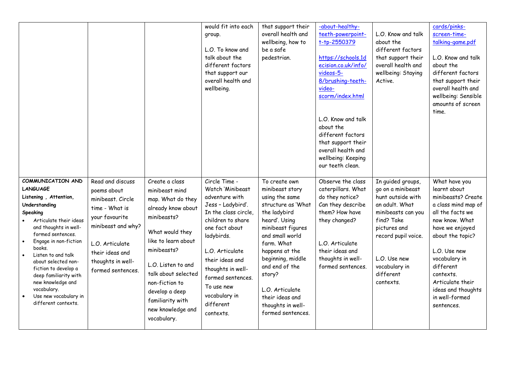|                                                                                                                                                                                                                                                                                                                                                                                                      |                                                                                                                                                                                                |                                                                                                                                                                                                                                                                                              | would fit into each<br>group.<br>L.O. To know and<br>talk about the<br>different factors<br>that support our<br>overall health and<br>wellbeing.                                                                                                                                               | that support their<br>overall health and<br>wellbeing, how to<br>be a safe<br>pedestrian.                                                                                                                                                                                                                          | -about-healthy-<br>teeth-powerpoint-<br>t-tp-2550379<br>https://schools.1d<br>ecision.co.uk/info/<br>videos-5-<br>8/brushing-teeth-<br>video-<br>scorm/index.html<br>L.O. Know and talk<br>about the<br>different factors<br>that support their<br>overall health and<br>wellbeing: Keeping<br>our teeth clean. | L.O. Know and talk<br>about the<br>different factors<br>that support their<br>overall health and<br>wellbeing: Staying<br>Active.                                                                                   | cards/pinks-<br>screen-time-<br>talking-game.pdf<br>L.O. Know and talk<br>about the<br>different factors<br>that support their<br>overall health and<br>wellbeing: Sensible<br>amounts of screen<br>time.                                                                                    |
|------------------------------------------------------------------------------------------------------------------------------------------------------------------------------------------------------------------------------------------------------------------------------------------------------------------------------------------------------------------------------------------------------|------------------------------------------------------------------------------------------------------------------------------------------------------------------------------------------------|----------------------------------------------------------------------------------------------------------------------------------------------------------------------------------------------------------------------------------------------------------------------------------------------|------------------------------------------------------------------------------------------------------------------------------------------------------------------------------------------------------------------------------------------------------------------------------------------------|--------------------------------------------------------------------------------------------------------------------------------------------------------------------------------------------------------------------------------------------------------------------------------------------------------------------|-----------------------------------------------------------------------------------------------------------------------------------------------------------------------------------------------------------------------------------------------------------------------------------------------------------------|---------------------------------------------------------------------------------------------------------------------------------------------------------------------------------------------------------------------|----------------------------------------------------------------------------------------------------------------------------------------------------------------------------------------------------------------------------------------------------------------------------------------------|
| COMMUNICATION AND<br><b>LANGUAGE</b><br>Listening, Attention,<br>Understanding<br>Speaking<br>Articulate their ideas<br>and thoughts in well-<br>formed sentences.<br>Engage in non-fiction<br>$\bullet$<br>books.<br>Listen to and talk<br>about selected non-<br>fiction to develop a<br>deep familiarity with<br>new knowledge and<br>vocabulary.<br>Use new vocabulary in<br>different contexts. | Read and discuss<br>poems about<br>minibeast. Circle<br>time - What is<br>your favourite<br>minibeast and why?<br>L.O. Articulate<br>their ideas and<br>thoughts in well-<br>formed sentences. | Create a class<br>minibeast mind<br>map. What do they<br>already know about<br>minibeasts?<br>What would they<br>like to learn about<br>minibeasts?<br>L.O. Listen to and<br>talk about selected<br>non-fiction to<br>develop a deep<br>familiarity with<br>new knowledge and<br>vocabulary. | Circle Time -<br>Watch 'Minibeast<br>adventure with<br>Jess - Ladybird'.<br>In the class circle,<br>children to share<br>one fact about<br>ladybirds.<br>L.O. Articulate<br>their ideas and<br>thoughts in well-<br>formed sentences.<br>To use new<br>vocabulary in<br>different<br>contexts. | To create own<br>minibeast story<br>using the same<br>structure as 'What<br>the ladybird<br>heard'. Using<br>minibeast figures<br>and small world<br>farm. What<br>happens at the<br>beginning, middle<br>and end of the<br>story?<br>L.O. Articulate<br>their ideas and<br>thoughts in well-<br>formed sentences. | Observe the class<br>caterpillars. What<br>do they notice?<br>Can they describe<br>them? How have<br>they changed?<br>L.O. Articulate<br>their ideas and<br>thoughts in well-<br>formed sentences.                                                                                                              | In guided groups,<br>go on a minibeast<br>hunt outside with<br>an adult. What<br>minibeasts can you<br>find? Take<br>pictures and<br>record pupil voice.<br>L.O. Use new<br>vocabulary in<br>different<br>contexts. | What have you<br>learnt about<br>minibeasts? Create<br>a class mind map of<br>all the facts we<br>now know. What<br>have we enjoyed<br>about the topic?<br>L.O. Use new<br>vocabulary in<br>different<br>contexts.<br>Articulate their<br>ideas and thoughts<br>in well-formed<br>sentences. |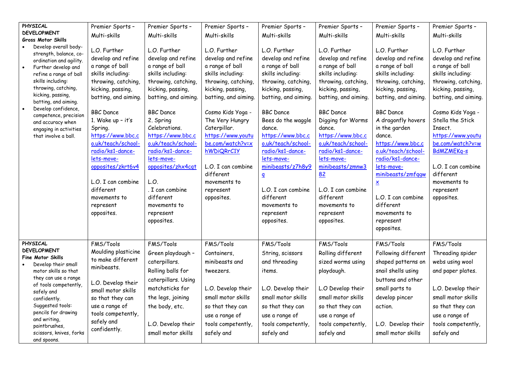|                        | PHYSICAL                                                                                                                                                                                                                                                                                                                                                          | Premier Sports -                                                                                                                                                                                                                                                                                                                                                                       | Premier Sports -                                                                                                                                                                                                                                                                                                                                                           | Premier Sports -                                                                                                                                                                                                                                                                                                                                            | Premier Sports -                                                                                                                                                                                                                                                                                                                                                                                   | Premier Sports -                                                                                                                                                                                                                                                                                                                                                            | Premier Sports -                                                                                                                                                                                                                                                                                                                                                                                     | Premier Sports -                                                                                                                                                                                                                                                                                                                                               |
|------------------------|-------------------------------------------------------------------------------------------------------------------------------------------------------------------------------------------------------------------------------------------------------------------------------------------------------------------------------------------------------------------|----------------------------------------------------------------------------------------------------------------------------------------------------------------------------------------------------------------------------------------------------------------------------------------------------------------------------------------------------------------------------------------|----------------------------------------------------------------------------------------------------------------------------------------------------------------------------------------------------------------------------------------------------------------------------------------------------------------------------------------------------------------------------|-------------------------------------------------------------------------------------------------------------------------------------------------------------------------------------------------------------------------------------------------------------------------------------------------------------------------------------------------------------|----------------------------------------------------------------------------------------------------------------------------------------------------------------------------------------------------------------------------------------------------------------------------------------------------------------------------------------------------------------------------------------------------|-----------------------------------------------------------------------------------------------------------------------------------------------------------------------------------------------------------------------------------------------------------------------------------------------------------------------------------------------------------------------------|------------------------------------------------------------------------------------------------------------------------------------------------------------------------------------------------------------------------------------------------------------------------------------------------------------------------------------------------------------------------------------------------------|----------------------------------------------------------------------------------------------------------------------------------------------------------------------------------------------------------------------------------------------------------------------------------------------------------------------------------------------------------------|
|                        |                                                                                                                                                                                                                                                                                                                                                                   |                                                                                                                                                                                                                                                                                                                                                                                        |                                                                                                                                                                                                                                                                                                                                                                            |                                                                                                                                                                                                                                                                                                                                                             |                                                                                                                                                                                                                                                                                                                                                                                                    |                                                                                                                                                                                                                                                                                                                                                                             |                                                                                                                                                                                                                                                                                                                                                                                                      |                                                                                                                                                                                                                                                                                                                                                                |
|                        | <b>Gross Motor Skills</b>                                                                                                                                                                                                                                                                                                                                         |                                                                                                                                                                                                                                                                                                                                                                                        |                                                                                                                                                                                                                                                                                                                                                                            |                                                                                                                                                                                                                                                                                                                                                             |                                                                                                                                                                                                                                                                                                                                                                                                    |                                                                                                                                                                                                                                                                                                                                                                             |                                                                                                                                                                                                                                                                                                                                                                                                      |                                                                                                                                                                                                                                                                                                                                                                |
| $\bullet$<br>$\bullet$ | <b>DEVELOPMENT</b><br>Develop overall body-<br>strength, balance, co-<br>ordination and agility.<br>Further develop and<br>refine a range of ball<br>skills including:<br>throwing, catching,<br>kicking, passing,<br>batting, and aiming.<br>Develop confidence,<br>competence, precision<br>and accuracy when<br>engaging in activities<br>that involve a ball. | Multi-skills<br>L.O. Further<br>develop and refine<br>a range of ball<br>skills including:<br>throwing, catching,<br>kicking, passing,<br>batting, and aiming.<br><b>BBC</b> Dance<br>1. Wake up $-$ it's<br>Spring.<br>https://www.bbc.c<br>o.uk/teach/school-<br>radio/ks1-dance-<br>lets-move-<br>opposites/zkrt6v4<br>L.O. I can combine<br>different<br>movements to<br>represent | Multi-skills<br>L.O. Further<br>develop and refine<br>a range of ball<br>skills including:<br>throwing, catching,<br>kicking, passing,<br>batting, and aiming.<br><b>BBC</b> Dance<br>2. Spring<br>Celebrations.<br>https://www.bbc.c<br>o.uk/teach/school-<br>radio/ks1-dance-<br>lets-move-<br>opposites/zhx4cqt<br>L.O.<br>. I can combine<br>different<br>movements to | Multi-skills<br>L.O. Further<br>develop and refine<br>a range of ball<br>skills including:<br>throwing, catching,<br>kicking, passing,<br>batting, and aiming.<br>Cosmo Kids Yoga -<br>The Very Hungry<br>Caterpillar.<br>https://www.youtu<br>be.com/watch?v=x<br>hWDiQRrC1Y<br>L.O. I can combine<br>different<br>movements to<br>represent<br>opposites. | Multi-skills<br>L.O. Further<br>develop and refine<br>a range of ball<br>skills including:<br>throwing, catching,<br>kicking, passing,<br>batting, and aiming.<br><b>BBC</b> Dance<br>Bees do the waggle<br>dance.<br>https://www.bbc.c<br>o.uk/teach/school-<br>radio/ks1-dance-<br>lets-move-<br>minibeasts/z7h8y9<br>$\overline{\mathbf{q}}$<br>L.O. I can combine<br>different<br>movements to | Multi-skills<br>L.O. Further<br>develop and refine<br>a range of ball<br>skills including:<br>throwing, catching,<br>kicking, passing,<br>batting, and aiming.<br><b>BBC</b> Dance<br>Digging for Worms<br>dance.<br>https://www.bbc.c<br>o.uk/teach/school-<br>radio/ks1-dance-<br>lets-move-<br>minibeasts/zmnw3<br>82<br>L.O. I can combine<br>different<br>movements to | Multi-skills<br>L.O. Further<br>develop and refine<br>a range of ball<br>skills including:<br>throwing, catching,<br>kicking, passing,<br>batting, and aiming.<br><b>BBC</b> Dance<br>A dragonfly hovers<br>in the garden<br>dance.<br>https://www.bbc.c<br>o.uk/teach/school-<br>radio/ks1-dance-<br>lets-move-<br>minibeasts/zmfggw<br>$\underline{\mathsf{x}}$<br>L.O. I can combine<br>different | Multi-skills<br>L.O. Further<br>develop and refine<br>a range of ball<br>skills including:<br>throwing, catching,<br>kicking, passing,<br>batting, and aiming.<br>Cosmo Kids Yoga -<br>Stella the Stick<br>Insect.<br>https://www.youtu<br>be.com/watch?v=w<br><b>BdMZMEKq-s</b><br>L.O. I can combine<br>different<br>movements to<br>represent<br>opposites. |
|                        |                                                                                                                                                                                                                                                                                                                                                                   | opposites.                                                                                                                                                                                                                                                                                                                                                                             | represent<br>opposites.                                                                                                                                                                                                                                                                                                                                                    |                                                                                                                                                                                                                                                                                                                                                             | represent<br>opposites.                                                                                                                                                                                                                                                                                                                                                                            | represent<br>opposites.                                                                                                                                                                                                                                                                                                                                                     | movements to<br>represent<br>opposites.                                                                                                                                                                                                                                                                                                                                                              |                                                                                                                                                                                                                                                                                                                                                                |
|                        | PHYSICAL                                                                                                                                                                                                                                                                                                                                                          | FMS/Tools                                                                                                                                                                                                                                                                                                                                                                              | FMS/Tools                                                                                                                                                                                                                                                                                                                                                                  | FMS/Tools                                                                                                                                                                                                                                                                                                                                                   | FMS/Tools                                                                                                                                                                                                                                                                                                                                                                                          | FMS/Tools                                                                                                                                                                                                                                                                                                                                                                   | FMS/Tools                                                                                                                                                                                                                                                                                                                                                                                            | FMS/Tools                                                                                                                                                                                                                                                                                                                                                      |
|                        | <b>DEVELOPMENT</b>                                                                                                                                                                                                                                                                                                                                                | Moulding plasticine                                                                                                                                                                                                                                                                                                                                                                    |                                                                                                                                                                                                                                                                                                                                                                            |                                                                                                                                                                                                                                                                                                                                                             |                                                                                                                                                                                                                                                                                                                                                                                                    |                                                                                                                                                                                                                                                                                                                                                                             |                                                                                                                                                                                                                                                                                                                                                                                                      |                                                                                                                                                                                                                                                                                                                                                                |
|                        | <b>Fine Motor Skills</b>                                                                                                                                                                                                                                                                                                                                          | to make different                                                                                                                                                                                                                                                                                                                                                                      | Green playdough -                                                                                                                                                                                                                                                                                                                                                          | Containers,                                                                                                                                                                                                                                                                                                                                                 | String, scissors                                                                                                                                                                                                                                                                                                                                                                                   | Rolling different                                                                                                                                                                                                                                                                                                                                                           | Following different                                                                                                                                                                                                                                                                                                                                                                                  | Threading spider                                                                                                                                                                                                                                                                                                                                               |
|                        | Develop their small                                                                                                                                                                                                                                                                                                                                               | minibeasts.                                                                                                                                                                                                                                                                                                                                                                            | caterpillars.                                                                                                                                                                                                                                                                                                                                                              | minibeasts and                                                                                                                                                                                                                                                                                                                                              | and threading                                                                                                                                                                                                                                                                                                                                                                                      | sized worms using                                                                                                                                                                                                                                                                                                                                                           | shaped patterns on                                                                                                                                                                                                                                                                                                                                                                                   | webs using wool                                                                                                                                                                                                                                                                                                                                                |
|                        | motor skills so that                                                                                                                                                                                                                                                                                                                                              |                                                                                                                                                                                                                                                                                                                                                                                        | Rolling balls for                                                                                                                                                                                                                                                                                                                                                          | tweezers.                                                                                                                                                                                                                                                                                                                                                   | items.                                                                                                                                                                                                                                                                                                                                                                                             | playdough.                                                                                                                                                                                                                                                                                                                                                                  | snail shells using                                                                                                                                                                                                                                                                                                                                                                                   | and paper plates.                                                                                                                                                                                                                                                                                                                                              |
|                        | they can use a range<br>of tools competently,                                                                                                                                                                                                                                                                                                                     | L.O. Develop their                                                                                                                                                                                                                                                                                                                                                                     | caterpillars. Using                                                                                                                                                                                                                                                                                                                                                        |                                                                                                                                                                                                                                                                                                                                                             |                                                                                                                                                                                                                                                                                                                                                                                                    |                                                                                                                                                                                                                                                                                                                                                                             | buttons and other                                                                                                                                                                                                                                                                                                                                                                                    |                                                                                                                                                                                                                                                                                                                                                                |
|                        | safely and                                                                                                                                                                                                                                                                                                                                                        | small motor skills                                                                                                                                                                                                                                                                                                                                                                     | matchsticks for                                                                                                                                                                                                                                                                                                                                                            | L.O. Develop their                                                                                                                                                                                                                                                                                                                                          | L.O. Develop their                                                                                                                                                                                                                                                                                                                                                                                 | L.O Develop their                                                                                                                                                                                                                                                                                                                                                           | small parts to                                                                                                                                                                                                                                                                                                                                                                                       | L.O. Develop their                                                                                                                                                                                                                                                                                                                                             |
|                        | confidently.                                                                                                                                                                                                                                                                                                                                                      | so that they can                                                                                                                                                                                                                                                                                                                                                                       | the legs, joining                                                                                                                                                                                                                                                                                                                                                          | small motor skills                                                                                                                                                                                                                                                                                                                                          | small motor skills                                                                                                                                                                                                                                                                                                                                                                                 | small motor skills                                                                                                                                                                                                                                                                                                                                                          | develop pincer                                                                                                                                                                                                                                                                                                                                                                                       | small motor skills                                                                                                                                                                                                                                                                                                                                             |
|                        | Suggested tools:                                                                                                                                                                                                                                                                                                                                                  | use a range of                                                                                                                                                                                                                                                                                                                                                                         | the body, etc.                                                                                                                                                                                                                                                                                                                                                             | so that they can                                                                                                                                                                                                                                                                                                                                            | so that they can                                                                                                                                                                                                                                                                                                                                                                                   | so that they can                                                                                                                                                                                                                                                                                                                                                            | action.                                                                                                                                                                                                                                                                                                                                                                                              | so that they can                                                                                                                                                                                                                                                                                                                                               |
|                        | pencils for drawing                                                                                                                                                                                                                                                                                                                                               | tools competently,                                                                                                                                                                                                                                                                                                                                                                     |                                                                                                                                                                                                                                                                                                                                                                            | use a range of                                                                                                                                                                                                                                                                                                                                              | use a range of                                                                                                                                                                                                                                                                                                                                                                                     | use a range of                                                                                                                                                                                                                                                                                                                                                              |                                                                                                                                                                                                                                                                                                                                                                                                      | use a range of                                                                                                                                                                                                                                                                                                                                                 |
|                        | and writing,                                                                                                                                                                                                                                                                                                                                                      | safely and                                                                                                                                                                                                                                                                                                                                                                             | L.O. Develop their                                                                                                                                                                                                                                                                                                                                                         | tools competently,                                                                                                                                                                                                                                                                                                                                          | tools competently,                                                                                                                                                                                                                                                                                                                                                                                 | tools competently,                                                                                                                                                                                                                                                                                                                                                          | L.O. Develop their                                                                                                                                                                                                                                                                                                                                                                                   | tools competently,                                                                                                                                                                                                                                                                                                                                             |
|                        | paintbrushes,<br>scissors, knives, forks                                                                                                                                                                                                                                                                                                                          | confidently.                                                                                                                                                                                                                                                                                                                                                                           | small motor skills                                                                                                                                                                                                                                                                                                                                                         | safely and                                                                                                                                                                                                                                                                                                                                                  | safely and                                                                                                                                                                                                                                                                                                                                                                                         | safely and                                                                                                                                                                                                                                                                                                                                                                  | small motor skills                                                                                                                                                                                                                                                                                                                                                                                   | safely and                                                                                                                                                                                                                                                                                                                                                     |
|                        | and spoons.                                                                                                                                                                                                                                                                                                                                                       |                                                                                                                                                                                                                                                                                                                                                                                        |                                                                                                                                                                                                                                                                                                                                                                            |                                                                                                                                                                                                                                                                                                                                                             |                                                                                                                                                                                                                                                                                                                                                                                                    |                                                                                                                                                                                                                                                                                                                                                                             |                                                                                                                                                                                                                                                                                                                                                                                                      |                                                                                                                                                                                                                                                                                                                                                                |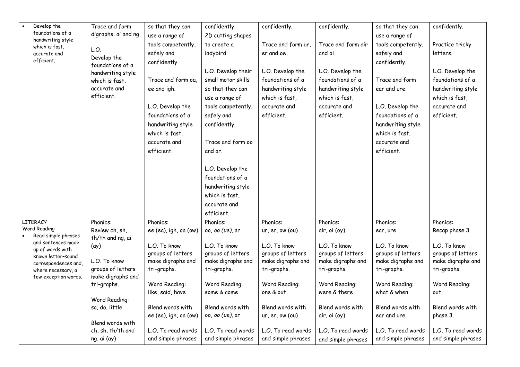| Develop the                            | Trace and form                     | so that they can      | confidently.                 | confidently.               | confidently.                  | so that they can             | confidently.       |
|----------------------------------------|------------------------------------|-----------------------|------------------------------|----------------------------|-------------------------------|------------------------------|--------------------|
| foundations of a<br>handwriting style  | digraphs: ai and ng.               | use a range of        | 2D cutting shapes            |                            |                               | use a range of               |                    |
| which is fast,                         |                                    | tools competently,    | to create a                  | Trace and form ur.         | Trace and form air            | tools competently,           | Practice tricky    |
| accurate and                           | L.O.<br>Develop the                | safely and            | ladybird.                    | er and ow.                 | and oi.                       | safely and                   | letters.           |
| efficient.                             | foundations of a                   | confidently.          |                              |                            |                               | confidently.                 |                    |
|                                        | handwriting style                  |                       | L.O. Develop their           | L.O. Develop the           | L.O. Develop the              |                              | L.O. Develop the   |
|                                        | which is fast,                     | Trace and form oa,    | small motor skills           | foundations of a           | foundations of a              | Trace and form               | foundations of a   |
|                                        | accurate and                       | ee and igh.           | so that they can             | handwriting style          | handwriting style             | ear and ure.                 | handwriting style  |
|                                        | efficient.                         |                       | use a range of               | which is fast,             | which is fast,                |                              | which is fast,     |
|                                        |                                    | L.O. Develop the      | tools competently,           | accurate and               | accurate and                  | L.O. Develop the             | accurate and       |
|                                        |                                    | foundations of a      | safely and                   | efficient.                 | efficient.                    | foundations of a             | efficient.         |
|                                        |                                    | handwriting style     | confidently.                 |                            |                               | handwriting style            |                    |
|                                        |                                    | which is fast,        |                              |                            |                               | which is fast,               |                    |
|                                        |                                    | accurate and          | Trace and form oo            |                            |                               | accurate and                 |                    |
|                                        |                                    | efficient.            | and ar.                      |                            |                               | efficient.                   |                    |
|                                        |                                    |                       |                              |                            |                               |                              |                    |
|                                        |                                    |                       | L.O. Develop the             |                            |                               |                              |                    |
|                                        |                                    |                       | foundations of a             |                            |                               |                              |                    |
|                                        |                                    |                       | handwriting style            |                            |                               |                              |                    |
|                                        |                                    |                       | which is fast.               |                            |                               |                              |                    |
|                                        |                                    |                       | accurate and                 |                            |                               |                              |                    |
|                                        |                                    |                       | efficient.                   |                            |                               |                              |                    |
| <b>LITERACY</b><br>Word Reading        | Phonics:                           | Phonics:              | Phonics:                     | Phonics:                   | Phonics:                      | Phonics:                     | Phonics:           |
| Read simple phrases                    | Review ch, sh,<br>th/th and ng, ai | ee (ea), igh, oa (ow) | 00, 00 (ue), ar              | ur, er, ow (ou)            | air, oi (oy)                  | ear, ure                     | Recap phase 3.     |
| and sentences made                     | $(\alpha y)$                       | L.O. To know          | L.O. To know                 | L.O. To know               | L.O. To know                  | L.O. To know                 | L.O. To know       |
| up of words with<br>known letter-sound |                                    | groups of letters     | groups of letters            | groups of letters          | groups of letters             | groups of letters            | groups of letters  |
| correspondences and,                   | L.O. To know                       | make digraphs and     | make digraphs and            | make digraphs and          | make digraphs and             | make digraphs and            | make digraphs and  |
| where necessary, a                     | groups of letters                  | tri-graphs.           | tri-graphs.                  | tri-graphs.                | tri-graphs.                   | tri-graphs.                  | tri-graphs.        |
| few exception words.                   | make digraphs and                  |                       |                              |                            |                               |                              |                    |
|                                        | tri-graphs.                        | Word Reading:         | Word Reading:<br>some & come | Word Reading:<br>one & out | Word Reading:<br>were & there | Word Reading:<br>what & when | Word Reading:      |
|                                        | Word Reading:                      | like, said, have      |                              |                            |                               |                              | out                |
|                                        | so, do, little                     | Blend words with      | Blend words with             | Blend words with           | Blend words with              | Blend words with             | Blend words with   |
|                                        |                                    | ee (ea), igh, oa (ow) | 00, <i>00 (ue)</i> , ar      | ur, er, ow (ou)            | air, oi (oy)                  | ear and ure.                 | phase 3.           |
|                                        | Blend words with                   |                       |                              |                            |                               |                              |                    |
|                                        | ch, sh, th/th and                  | L.O. To read words    | L.O. To read words           | L.O. To read words         | L.O. To read words            | L.O. To read words           | L.O. To read words |
|                                        | ng, ai (ay)                        | and simple phrases    | and simple phrases           | and simple phrases         | and simple phrases            | and simple phrases           | and simple phrases |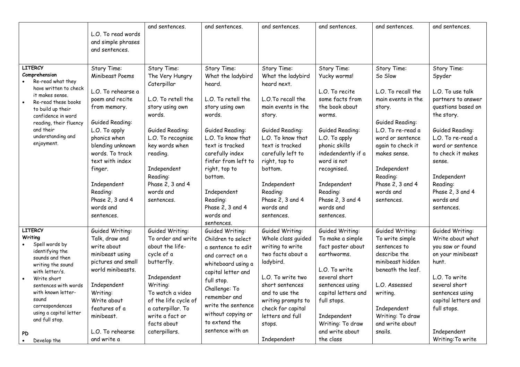|                                                                                                                                                                                                                                                                                    | L.O. To read words<br>and simple phrases<br>and sentences.                                                                                                                                                                                                                                 | and sentences.                                                                                                                                                                                                                                   | and sentences.                                                                                                                                                                                                                                                                                           | and sentences.                                                                                                                                                                                                                                                                             | and sentences.                                                                                                                                                                                                                                                                  | and sentences.                                                                                                                                                                                                                                          | and sentences.                                                                                                                                                                                                                                                           |
|------------------------------------------------------------------------------------------------------------------------------------------------------------------------------------------------------------------------------------------------------------------------------------|--------------------------------------------------------------------------------------------------------------------------------------------------------------------------------------------------------------------------------------------------------------------------------------------|--------------------------------------------------------------------------------------------------------------------------------------------------------------------------------------------------------------------------------------------------|----------------------------------------------------------------------------------------------------------------------------------------------------------------------------------------------------------------------------------------------------------------------------------------------------------|--------------------------------------------------------------------------------------------------------------------------------------------------------------------------------------------------------------------------------------------------------------------------------------------|---------------------------------------------------------------------------------------------------------------------------------------------------------------------------------------------------------------------------------------------------------------------------------|---------------------------------------------------------------------------------------------------------------------------------------------------------------------------------------------------------------------------------------------------------|--------------------------------------------------------------------------------------------------------------------------------------------------------------------------------------------------------------------------------------------------------------------------|
| <b>LITERCY</b><br>Comprehension<br>Re-read what they<br>have written to check<br>it makes sense.<br>Re-read these books<br>to build up their<br>confidence in word<br>reading, their fluency<br>and their<br>understanding and<br>enjoyment.                                       | Story Time:<br>Minibeast Poems<br>L.O. To rehearse a<br>poem and recite<br>from memory.<br>Guided Reading:<br>L.O. To apply<br>phonics when<br>blending unknown<br>words. To track<br>text with index<br>finger.<br>Independent<br>Reading:<br>Phase 2, 3 and 4<br>words and<br>sentences. | Story Time:<br>The Very Hungry<br>Caterpillar<br>L.O. To retell the<br>story using own<br>words.<br>Guided Reading:<br>L.O. To recognise<br>key words when<br>reading.<br>Independent<br>Reading:<br>Phase 2, 3 and 4<br>words and<br>sentences. | Story Time:<br>What the ladybird<br>heard.<br>L.O. To retell the<br>story using own<br>words.<br>Guided Reading:<br>L.O. To know that<br>text is tracked<br>carefully index<br>finfer from left to<br>right, top to<br>bottom.<br>Independent<br>Reading:<br>Phase 2, 3 and 4<br>words and<br>sentences. | Story Time:<br>What the ladybird<br>heard next.<br>L.O.To recall the<br>main events in the<br>story.<br>Guided Reading:<br>L.O. To know that<br>text is tracked<br>carefully left to<br>right, top to<br>bottom.<br>Independent<br>Reading:<br>Phase 2, 3 and 4<br>words and<br>sentences. | Story Time:<br>Yucky worms!<br>L.O. To recite<br>some facts from<br>the book about<br>worms.<br>Guided Reading:<br>L.O. To apply<br>phonic skills<br>indedendently if a<br>word is not<br>recognised.<br>Independent<br>Reading:<br>Phase 2, 3 and 4<br>words and<br>sentences. | Story Time:<br>So Slow<br>L.O. To recall the<br>main events in the<br>story.<br>Guided Reading:<br>L.O. To re-read a<br>word or sentence<br>again to check it<br>makes sense.<br>Independent<br>Reading:<br>Phase 2, 3 and 4<br>words and<br>sentences. | Story Time:<br>Spyder<br>L.O. To use talk<br>partners to answer<br>questions based on<br>the story.<br>Guided Reading:<br>L.O. To re-read a<br>word or sentence<br>to check it makes<br>sense.<br>Independent<br>Reading:<br>Phase 2, 3 and 4<br>words and<br>sentences. |
| <b>LITERCY</b><br>Writing<br>Spell words by<br>identifying the<br>sounds and then<br>writing the sound<br>with letter/s.<br>Write short<br>sentences with words<br>with known letter-<br>sound<br>correspondences<br>using a capital letter<br>and full stop.<br>PD<br>Develop the | Guided Writing:<br>Talk, draw and<br>write about<br>minibeast using<br>pictures and small<br>world minibeasts.<br>Independent<br>Writing:<br>Write about<br>features of a<br>minibeast.<br>L.O. To rehearse<br>and write a                                                                 | Guided Writing:<br>To order and write<br>about the life-<br>cycle of a<br>butterfly.<br>Independent<br>Writing:<br>To watch a video<br>of the life cycle of<br>a caterpillar. To<br>write a fact or<br>facts about<br>caterpillars.              | Guided Writing:<br>Children to select<br>a sentence to edit<br>and correct on a<br>whiteboard using a<br>capital letter and<br>full stop.<br>Challenge: To<br>remember and<br>write the sentence<br>without copying or<br>to extend the<br>sentence with an                                              | Guided Writing:<br>Whole class guided<br>writing to write<br>two facts about a<br>ladybird.<br>L.O. To write two<br>short sentences<br>and to use the<br>writing prompts to<br>check for capital<br>letters and full<br>stops.<br>Independent                                              | Guided Writing:<br>To make a simple<br>fact poster about<br>earthworms.<br>L.O. To write<br>several short<br>sentences using<br>capital letters and<br>full stops.<br>Independent<br>Writing: To draw<br>and write about<br>the class                                           | Guided Writing:<br>To write simple<br>sentences to<br>describe the<br>minibeast hidden<br>beneath the leaf.<br>L.O. Assessed<br>writing.<br>Independent<br>Writing: To draw<br>and write about<br>snails.                                               | Guided Writing:<br>Write about what<br>you saw or found<br>on your minibeast<br>hunt.<br>L.O. To write<br>several short<br>sentences using<br>capital letters and<br>full stops.<br>Independent<br>Writing: To write                                                     |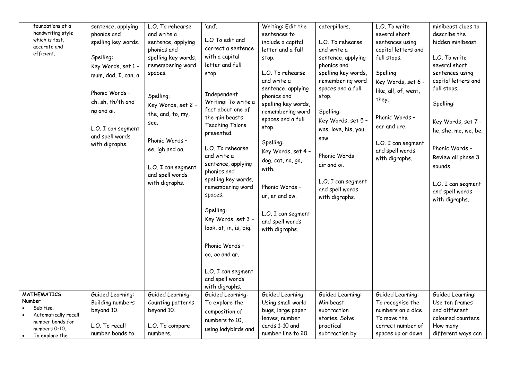| foundations of a<br>handwriting style<br>which is fast,<br>accurate and<br>efficient. | sentence, applying<br>phonics and<br>spelling key words.<br>Spelling:<br>Key Words, set 1 -<br>mum, dad, I, can, a<br>Phonic Words -<br>ch, sh, th/th and<br>ng and ai.<br>L.O. I can segment<br>and spell words<br>with digraphs. | L.O. To rehearse<br>and write a<br>sentence, applying<br>phonics and<br>spelling key words,<br>remembering word<br>spaces.<br>Spelling:<br>Key Words, set 2 -<br>the, and, to, my,<br>see.<br>Phonic Words -<br>ee, igh and oa.<br>L.O. I can segment<br>and spell words<br>with digraphs. | 'and'.<br>L.O To edit and<br>correct a sentence<br>with a capital<br>letter and full<br>stop.<br>Independent<br>Writing: To write a<br>fact about one of<br>the minibeasts<br><b>Teaching Talons</b><br>presented.<br>L.O. To rehearse<br>and write a<br>sentence, applying<br>phonics and<br>spelling key words,<br>remembering word<br>spaces.<br>Spelling:<br>Key Words, set 3 -<br>look, at, in, is, big.<br>Phonic Words -<br>00, 00 and ar.<br>L.O. I can segment<br>and spell words<br>with digraphs. | Writing: Edit the<br>sentences to<br>include a capital<br>letter and a full<br>stop.<br>L.O. To rehearse<br>and write a<br>sentence, applying<br>phonics and<br>spelling key words,<br>remembering word<br>spaces and a full<br>stop.<br>Spelling:<br>Key Words, set 4 -<br>dog, cat, no, go,<br>with.<br>Phonic Words -<br>ur, er and ow.<br>L.O. I can segment<br>and spell words<br>with digraphs. | caterpillars.<br>L.O. To rehearse<br>and write a<br>sentence, applying<br>phonics and<br>spelling key words,<br>remembering word<br>spaces and a full<br>stop.<br>Spelling:<br>Key Words, set 5 -<br>was, love, his, you,<br>Saw.<br>Phonic Words -<br>air and oi.<br>L.O. I can segment<br>and spell words<br>with digraphs. | L.O. To write<br>several short<br>sentences using<br>capital letters and<br>full stops.<br>Spelling:<br>Key Words, set 6 -<br>like, all, of, went,<br>they.<br>Phonic Words -<br>ear and ure.<br>L.O. I can segment<br>and spell words<br>with digraphs. | minibeast clues to<br>describe the<br>hidden minibeast.<br>L.O. To write<br>several short<br>sentences using<br>capital letters and<br>full stops.<br>Spelling:<br>Key Words, set 7 -<br>he, she, me, we, be.<br>Phonic Words -<br>Review all phase 3<br>sounds.<br>L.O. I can segment<br>and spell words<br>with digraphs. |
|---------------------------------------------------------------------------------------|------------------------------------------------------------------------------------------------------------------------------------------------------------------------------------------------------------------------------------|--------------------------------------------------------------------------------------------------------------------------------------------------------------------------------------------------------------------------------------------------------------------------------------------|--------------------------------------------------------------------------------------------------------------------------------------------------------------------------------------------------------------------------------------------------------------------------------------------------------------------------------------------------------------------------------------------------------------------------------------------------------------------------------------------------------------|-------------------------------------------------------------------------------------------------------------------------------------------------------------------------------------------------------------------------------------------------------------------------------------------------------------------------------------------------------------------------------------------------------|-------------------------------------------------------------------------------------------------------------------------------------------------------------------------------------------------------------------------------------------------------------------------------------------------------------------------------|----------------------------------------------------------------------------------------------------------------------------------------------------------------------------------------------------------------------------------------------------------|-----------------------------------------------------------------------------------------------------------------------------------------------------------------------------------------------------------------------------------------------------------------------------------------------------------------------------|
| <b>MATHEMATICS</b>                                                                    | Guided Learning:                                                                                                                                                                                                                   | Guided Learning:                                                                                                                                                                                                                                                                           | Guided Learning:                                                                                                                                                                                                                                                                                                                                                                                                                                                                                             | Guided Learning:                                                                                                                                                                                                                                                                                                                                                                                      | Guided Learning:                                                                                                                                                                                                                                                                                                              | Guided Learning:                                                                                                                                                                                                                                         | Guided Learning:                                                                                                                                                                                                                                                                                                            |
| Number                                                                                | <b>Building numbers</b>                                                                                                                                                                                                            | Counting patterns                                                                                                                                                                                                                                                                          | To explore the                                                                                                                                                                                                                                                                                                                                                                                                                                                                                               | Using small world                                                                                                                                                                                                                                                                                                                                                                                     | Minibeast                                                                                                                                                                                                                                                                                                                     | To recognise the                                                                                                                                                                                                                                         | Use ten frames                                                                                                                                                                                                                                                                                                              |
| Subitise.                                                                             | beyond 10.                                                                                                                                                                                                                         | beyond 10.                                                                                                                                                                                                                                                                                 | composition of                                                                                                                                                                                                                                                                                                                                                                                                                                                                                               | bugs, large paper                                                                                                                                                                                                                                                                                                                                                                                     | subtraction                                                                                                                                                                                                                                                                                                                   | numbers on a dice.                                                                                                                                                                                                                                       | and different                                                                                                                                                                                                                                                                                                               |
| Automatically recall                                                                  |                                                                                                                                                                                                                                    |                                                                                                                                                                                                                                                                                            |                                                                                                                                                                                                                                                                                                                                                                                                                                                                                                              | leaves, number                                                                                                                                                                                                                                                                                                                                                                                        | stories. Solve                                                                                                                                                                                                                                                                                                                | To move the                                                                                                                                                                                                                                              | coloured counters.                                                                                                                                                                                                                                                                                                          |
| number bonds for                                                                      | L.O. To recall                                                                                                                                                                                                                     | L.O. To compare                                                                                                                                                                                                                                                                            | numbers to 10,                                                                                                                                                                                                                                                                                                                                                                                                                                                                                               | cards 1-10 and                                                                                                                                                                                                                                                                                                                                                                                        | practical                                                                                                                                                                                                                                                                                                                     | correct number of                                                                                                                                                                                                                                        | How many                                                                                                                                                                                                                                                                                                                    |
| numbers 0-10.                                                                         |                                                                                                                                                                                                                                    |                                                                                                                                                                                                                                                                                            | using ladybirds and                                                                                                                                                                                                                                                                                                                                                                                                                                                                                          |                                                                                                                                                                                                                                                                                                                                                                                                       |                                                                                                                                                                                                                                                                                                                               |                                                                                                                                                                                                                                                          |                                                                                                                                                                                                                                                                                                                             |
| To explore the                                                                        | number bonds to                                                                                                                                                                                                                    | numbers.                                                                                                                                                                                                                                                                                   |                                                                                                                                                                                                                                                                                                                                                                                                                                                                                                              | number line to 20.                                                                                                                                                                                                                                                                                                                                                                                    | subtraction by                                                                                                                                                                                                                                                                                                                | spaces up or down                                                                                                                                                                                                                                        | different ways can                                                                                                                                                                                                                                                                                                          |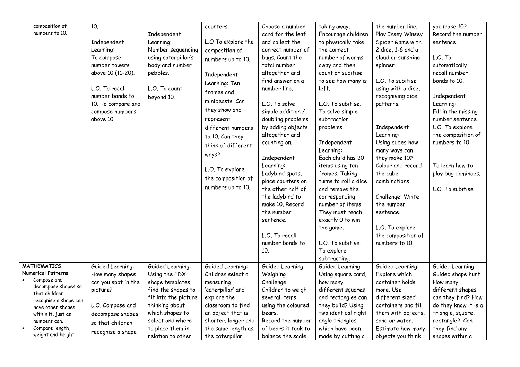| composition of<br>numbers to 10.                                                                                                                                     | 10.<br>Independent<br>Learning:<br>To compose<br>number towers<br>above 10 (11-20).<br>L.O. To recall<br>number bonds to<br>10. To compare and<br>compose numbers<br>above 10. | Independent<br>Learning:<br>Number sequencing<br>using caterpillar's<br>body and number<br>pebbles.<br>L.O. To count<br>beyond 10.       | counters.<br>L.O To explore the<br>composition of<br>numbers up to 10.<br>Independent<br>Learning: Ten<br>frames and<br>minibeasts. Can<br>they show and<br>represent<br>different numbers<br>to 10. Can they<br>think of different<br>ways?<br>L.O. To explore<br>the composition of<br>numbers up to 10. | Choose a number<br>card for the leaf<br>and collect the<br>correct number of<br>bugs. Count the<br>total number<br>altogether and<br>find answer on a<br>number line.<br>L.O. To solve<br>simple addition /<br>doubling problems<br>by adding objects<br>altogether and<br>counting on.<br>Independent<br>Learning:<br>Ladybird spots,<br>place counters on<br>the other half of<br>the ladybird to<br>make 10. Record<br>the number<br>sentence.<br>L.O. To recall<br>number bonds to<br>10. | taking away.<br>Encourage children<br>to physically take<br>the correct<br>number of worms<br>away and then<br>count or subitise<br>to see how many is<br>left.<br>L.O. To subitise.<br>To solve simple<br>subtraction<br>problems.<br>Independent<br>Learning:<br>Each child has 20<br>items using ten<br>frames. Taking<br>turns to roll a dice<br>and remove the<br>corresponding<br>number of items.<br>They must reach<br>exactly 0 to win<br>the game.<br>L.O. To subitise.<br>To explore<br>subtracting. | the number line.<br>Play Insey Winsey<br>Spider Game with<br>2 dice, 1-6 and a<br>cloud or sunshine<br>spinner.<br>L.O. To subitise<br>using with a dice,<br>recognising dice<br>patterns.<br>Independent<br>Learning:<br>Using cubes how<br>many ways can<br>they make 10?<br>Colour and record<br>the cube<br>combinations.<br>Challenge: Write<br>the number<br>sentence.<br>L.O. To explore<br>the composition of<br>numbers to 10. | you make 10?<br>Record the number<br>sentence.<br>L.O. To<br>automatically<br>recall number<br>bonds to 10.<br>Independent<br>Learning:<br>Fill in the missing<br>number sentence.<br>L.O. To explore<br>the composition of<br>numbers to 10.<br>To learn how to<br>play bug dominoes.<br>L.O. To subitise. |
|----------------------------------------------------------------------------------------------------------------------------------------------------------------------|--------------------------------------------------------------------------------------------------------------------------------------------------------------------------------|------------------------------------------------------------------------------------------------------------------------------------------|------------------------------------------------------------------------------------------------------------------------------------------------------------------------------------------------------------------------------------------------------------------------------------------------------------|-----------------------------------------------------------------------------------------------------------------------------------------------------------------------------------------------------------------------------------------------------------------------------------------------------------------------------------------------------------------------------------------------------------------------------------------------------------------------------------------------|-----------------------------------------------------------------------------------------------------------------------------------------------------------------------------------------------------------------------------------------------------------------------------------------------------------------------------------------------------------------------------------------------------------------------------------------------------------------------------------------------------------------|-----------------------------------------------------------------------------------------------------------------------------------------------------------------------------------------------------------------------------------------------------------------------------------------------------------------------------------------------------------------------------------------------------------------------------------------|-------------------------------------------------------------------------------------------------------------------------------------------------------------------------------------------------------------------------------------------------------------------------------------------------------------|
| <b>MATHEMATICS</b>                                                                                                                                                   | Guided Learning:                                                                                                                                                               | Guided Learning:                                                                                                                         | Guided Learning:                                                                                                                                                                                                                                                                                           | Guided Learning:                                                                                                                                                                                                                                                                                                                                                                                                                                                                              | Guided Learning:                                                                                                                                                                                                                                                                                                                                                                                                                                                                                                | Guided Learning:                                                                                                                                                                                                                                                                                                                                                                                                                        | Guided Learning:                                                                                                                                                                                                                                                                                            |
| <b>Numerical Patterns</b><br>Compose and<br>decompose shapes so<br>that children<br>recognise a shape can<br>have other shapes<br>within it, just as<br>numbers can. | How many shapes<br>can you spot in the<br>picture?<br>L.O. Compose and<br>decompose shapes                                                                                     | Using the EDX<br>shape templates,<br>find the shapes to<br>fit into the picture<br>thinking about<br>which shapes to<br>select and where | Children select a<br>measuring<br>'caterpillar' and<br>explore the<br>classroom to find<br>an object that is<br>shorter, longer and                                                                                                                                                                        | Weighing<br>Challenge.<br>Children to weigh<br>several items,<br>using the coloured<br>bears.<br>Record the number                                                                                                                                                                                                                                                                                                                                                                            | Using square card,<br>how many<br>different squares<br>and rectangles can<br>they build? Using<br>two identical right<br>angle triangles                                                                                                                                                                                                                                                                                                                                                                        | Explore which<br>container holds<br>more. Use<br>different sized<br>containers and fill<br>them with objects,<br>sand or water.                                                                                                                                                                                                                                                                                                         | Guided shape hunt.<br>How many<br>different shapes<br>can they find? How<br>do they know it is a<br>triangle, square,<br>rectangle? Can                                                                                                                                                                     |
| Compare length,<br>weight and height.                                                                                                                                | so that children<br>recognise a shape                                                                                                                                          | to place them in<br>relation to other                                                                                                    | the same length as<br>the caterpillar.                                                                                                                                                                                                                                                                     | of bears it took to<br>balance the scale.                                                                                                                                                                                                                                                                                                                                                                                                                                                     | which have been<br>made by cutting a                                                                                                                                                                                                                                                                                                                                                                                                                                                                            | Estimate how many<br>objects you think                                                                                                                                                                                                                                                                                                                                                                                                  | they find any<br>shapes within a                                                                                                                                                                                                                                                                            |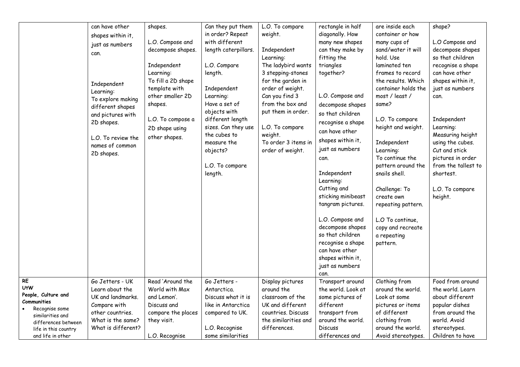|                                                                                                                                                                         | can have other<br>shapes within it,<br>just as numbers<br>can.<br>Independent<br>Learning:<br>To explore making<br>different shapes<br>and pictures with<br>2D shapes.<br>L.O. To review the<br>names of common<br>2D shapes. | shapes.<br>L.O. Compose and<br>decompose shapes.<br>Independent<br>Learning:<br>To fill a 2D shape<br>template with<br>other smaller 2D<br>shapes.<br>L.O. To compose a<br>2D shape using<br>other shapes. | Can they put them<br>in order? Repeat<br>with different<br>length caterpillars.<br>L.O. Compare<br>length.<br>Independent<br>Learning:<br>Have a set of<br>objects with<br>different length<br>sizes. Can they use<br>the cubes to<br>measure the<br>objects?<br>L.O. To compare<br>length. | L.O. To compare<br>weight.<br>Independent<br>Learning:<br>The ladybird wants<br>3 stepping-stones<br>for the garden in<br>order of weight.<br>Can you find 3<br>from the box and<br>put them in order.<br>L.O. To compare<br>weight.<br>To order 3 items in<br>order of weight. | rectangle in half<br>diagonally. How<br>many new shapes<br>can they make by<br>fitting the<br>triangles<br>together?<br>L.O. Compose and<br>decompose shapes<br>so that children<br>recognise a shape<br>can have other<br>shapes within it,<br>just as numbers<br>can.<br>Independent<br>Learning:<br>Cutting and<br>sticking minibeast<br>tangram pictures.<br>L.O. Compose and<br>decompose shapes<br>so that children<br>recognise a shape<br>can have other<br>shapes within it,<br>just as numbers<br>can. | are inside each<br>container or how<br>many cups of<br>sand/water it will<br>hold. Use<br>laminated ten<br>frames to record<br>the results. Which<br>container holds the<br>most / least /<br>same?<br>L.O. To compare<br>height and weight.<br>Independent<br>Learning:<br>To continue the<br>pattern around the<br>snails shell.<br>Challenge: To<br>create own<br>repeating pattern.<br>L.O To continue,<br>copy and recreate<br>a repeating<br>pattern. | shape?<br>L.O Compose and<br>decompose shapes<br>so that children<br>recognise a shape<br>can have other<br>shapes within it,<br>just as numbers<br>can.<br>Independent<br>Learning:<br>Measuring height<br>using the cubes.<br>Cut and stick<br>pictures in order<br>from the tallest to<br>shortest.<br>L.O. To compare<br>height. |
|-------------------------------------------------------------------------------------------------------------------------------------------------------------------------|-------------------------------------------------------------------------------------------------------------------------------------------------------------------------------------------------------------------------------|------------------------------------------------------------------------------------------------------------------------------------------------------------------------------------------------------------|---------------------------------------------------------------------------------------------------------------------------------------------------------------------------------------------------------------------------------------------------------------------------------------------|---------------------------------------------------------------------------------------------------------------------------------------------------------------------------------------------------------------------------------------------------------------------------------|------------------------------------------------------------------------------------------------------------------------------------------------------------------------------------------------------------------------------------------------------------------------------------------------------------------------------------------------------------------------------------------------------------------------------------------------------------------------------------------------------------------|-------------------------------------------------------------------------------------------------------------------------------------------------------------------------------------------------------------------------------------------------------------------------------------------------------------------------------------------------------------------------------------------------------------------------------------------------------------|--------------------------------------------------------------------------------------------------------------------------------------------------------------------------------------------------------------------------------------------------------------------------------------------------------------------------------------|
| <b>RE</b><br><b>UtW</b><br>People, Culture and<br>Communities<br>Recognise some<br>similarities and<br>differences between<br>life in this country<br>and life in other | Go Jetters - UK<br>Learn about the<br>UK and landmarks.<br>Compare with<br>other countries.<br>What is the same?<br>What is different?                                                                                        | Read 'Around the<br>World with Max<br>and Lemon'.<br>Discuss and<br>compare the places<br>they visit.<br>L.O. Recognise                                                                                    | Go Jetters -<br>Antarctica.<br>Discuss what it is<br>like in Antarctica<br>compared to UK.<br>L.O. Recognise<br>some similarities                                                                                                                                                           | Display pictures<br>around the<br>classroom of the<br>UK and different<br>countries. Discuss<br>the similarities and<br>differences.                                                                                                                                            | Transport around<br>the world. Look at<br>some pictures of<br>different<br>transport from<br>around the world.<br><b>Discuss</b><br>differences and                                                                                                                                                                                                                                                                                                                                                              | Clothing from<br>around the world.<br>Look at some<br>pictures or items<br>of different<br>clothing from<br>around the world.<br>Avoid stereotypes.                                                                                                                                                                                                                                                                                                         | Food from around<br>the world. Learn<br>about different<br>popular dishes<br>from around the<br>world. Avoid<br>stereotypes.<br>Children to have                                                                                                                                                                                     |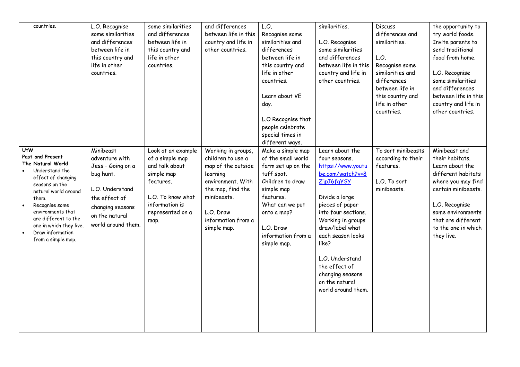| countries.                                                                                                                                                                                                                                                                                      | L.O. Recognise<br>some similarities<br>and differences<br>between life in<br>this country and<br>life in other<br>countries.                                  | some similarities<br>and differences<br>between life in<br>this country and<br>life in other<br>countries.                                            | and differences<br>between life in this<br>country and life in<br>other countries.                                                                                                   | L.O.<br>Recognise some<br>similarities and<br>differences<br>between life in<br>this country and<br>life in other<br>countries.<br>Learn about VE<br>day.<br>L.O Recognise that<br>people celebrate<br>special times in<br>different ways. | similarities.<br>L.O. Recognise<br>some similarities<br>and differences<br>between life in this<br>country and life in<br>other countries.                                                                                                                                                                                | <b>Discuss</b><br>differences and<br>similarities.<br>L.O.<br>Recognise some<br>similarities and<br>differences<br>between life in<br>this country and<br>life in other<br>countries. | the opportunity to<br>try world foods.<br>Invite parents to<br>send traditional<br>food from home.<br>L.O. Recognise<br>some similarities<br>and differences<br>between life in this<br>country and life in<br>other countries. |
|-------------------------------------------------------------------------------------------------------------------------------------------------------------------------------------------------------------------------------------------------------------------------------------------------|---------------------------------------------------------------------------------------------------------------------------------------------------------------|-------------------------------------------------------------------------------------------------------------------------------------------------------|--------------------------------------------------------------------------------------------------------------------------------------------------------------------------------------|--------------------------------------------------------------------------------------------------------------------------------------------------------------------------------------------------------------------------------------------|---------------------------------------------------------------------------------------------------------------------------------------------------------------------------------------------------------------------------------------------------------------------------------------------------------------------------|---------------------------------------------------------------------------------------------------------------------------------------------------------------------------------------|---------------------------------------------------------------------------------------------------------------------------------------------------------------------------------------------------------------------------------|
| <b>UtW</b><br>Past and Present<br>The Natural World<br>Understand the<br>effect of changing<br>seasons on the<br>natural world around<br>them.<br>Recognise some<br>$\bullet$<br>environments that<br>are different to the<br>one in which they live.<br>Draw information<br>from a simple map. | Minibeast<br>adventure with<br>Jess - Going on a<br>bug hunt.<br>L.O. Understand<br>the effect of<br>changing seasons<br>on the natural<br>world around them. | Look at an example<br>of a simple map<br>and talk about<br>simple map<br>features.<br>L.O. To know what<br>information is<br>represented on a<br>map. | Working in groups,<br>children to use a<br>map of the outside<br>learning<br>environment. With<br>the map, find the<br>minibeasts.<br>L.O. Draw<br>information from a<br>simple map. | Make a simple map<br>of the small world<br>farm set up on the<br>tuff spot.<br>Children to draw<br>simple map<br>features.<br>What can we put<br>onto a map?<br>L.O. Draw<br>information from a<br>simple map.                             | Learn about the<br>four seasons.<br>https://www.youtu<br>be.com/watch?v=8<br>ZjpI6fqYSY<br>Divide a large<br>pieces of paper<br>into four sections.<br>Working in groups<br>draw/label what<br>each season looks<br>like?<br>L.O. Understand<br>the effect of<br>changing seasons<br>on the natural<br>world around them. | To sort minibeasts<br>according to their<br>features.<br>L.O. To sort<br>minibeasts.                                                                                                  | Minibeast and<br>their habitats.<br>Learn about the<br>different habitats<br>where you may find<br>certain minibeasts.<br>L.O. Recognise<br>some environments<br>that are different<br>to the one in which<br>they live.        |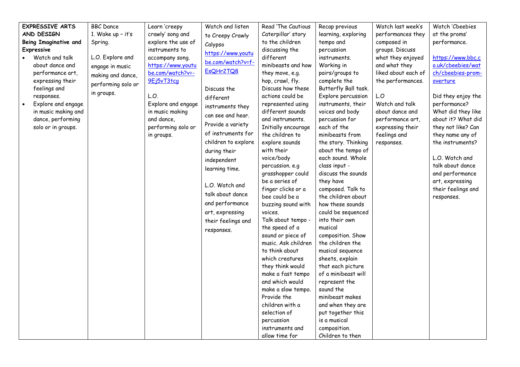| <b>EXPRESSIVE ARTS</b>       | <b>BBC</b> Dance    | Learn 'creepy      | Watch and listen    | Read 'The Cautious                   | Recap previous                          | Watch last week's   | Watch 'Cbeebies                    |
|------------------------------|---------------------|--------------------|---------------------|--------------------------------------|-----------------------------------------|---------------------|------------------------------------|
| AND DESIGN                   | 1. Wake up $-$ it's | crawly' song and   | to Creepy Crawly    | Caterpillar' story                   | learning, exploring                     | performances they   | at the proms'                      |
| <b>Being Imaginative and</b> | Spring.             | explore the use of | Calypso             | to the children                      | tempo and                               | composed in         | performance.                       |
| <b>Expressive</b>            |                     | instruments to     | https://www.youtu   | discussing the                       | percussion                              | groups. Discuss     |                                    |
| Watch and talk               | L.O. Explore and    | accompany song.    | be.com/watch?v=f-   | different                            | instruments.                            | what they enjoyed   | https://www.bbc.c                  |
| about dance and              | engage in music     | https://www.youtu  |                     | minibeasts and how                   | Working in                              | and what they       | o.uk/cbeebies/wat                  |
| performance art,             | making and dance,   | be.com/watch?v=-   | EsQHr2TQ8           | they move, e.g.                      | pairs/groups to                         | liked about each of | ch/cbeebies-prom-                  |
| expressing their             | performing solo or  | 9Ej5vT3tcq         |                     | hop, crawl, fly.                     | complete the                            | the performances.   | overture                           |
| feelings and                 | in groups.          |                    | Discuss the         | Discuss how these                    | Butterfly Ball task.                    |                     |                                    |
| responses.                   |                     | L.O.               | different           | actions could be                     | Explore percussion                      | L.O                 | Did they enjoy the                 |
| Explore and engage           |                     | Explore and engage | instruments they    | represented using                    | instruments, their                      | Watch and talk      | performance?                       |
| in music making and          |                     | in music making    | can see and hear.   | different sounds                     | voices and body                         | about dance and     | What did they like                 |
| dance, performing            |                     | and dance,         | Provide a variety   | and instruments.                     | percussion for                          | performance art,    | about it? What did                 |
| solo or in groups.           |                     | performing solo or | of instruments for  | Initially encourage                  | each of the                             | expressing their    | they not like? Can                 |
|                              |                     | in groups.         |                     | the children to                      | minibeasts from                         | feelings and        | they name any of                   |
|                              |                     |                    | children to explore | explore sounds                       | the story. Thinking                     | responses.          | the instruments?                   |
|                              |                     |                    | during their        | with their                           | about the tempo of<br>each sound. Whole |                     |                                    |
|                              |                     |                    | independent         | voice/body                           | class input -                           |                     | L.O. Watch and<br>talk about dance |
|                              |                     |                    | learning time.      | percussion. e.g<br>grasshopper could | discuss the sounds                      |                     | and performance                    |
|                              |                     |                    |                     | be a series of                       | they have                               |                     | art, expressing                    |
|                              |                     |                    | L.O. Watch and      | finger clicks or a                   | composed. Talk to                       |                     | their feelings and                 |
|                              |                     |                    | talk about dance    | bee could be a                       | the children about                      |                     | responses.                         |
|                              |                     |                    | and performance     | buzzing sound with                   | how these sounds                        |                     |                                    |
|                              |                     |                    | art, expressing     | voices.                              | could be sequenced                      |                     |                                    |
|                              |                     |                    | their feelings and  | Talk about tempo -                   | into their own                          |                     |                                    |
|                              |                     |                    |                     | the speed of a                       | musical                                 |                     |                                    |
|                              |                     |                    | responses.          | sound or piece of                    | composition. Show                       |                     |                                    |
|                              |                     |                    |                     | music. Ask children                  | the children the                        |                     |                                    |
|                              |                     |                    |                     | to think about                       | musical sequence                        |                     |                                    |
|                              |                     |                    |                     | which creatures                      | sheets, explain                         |                     |                                    |
|                              |                     |                    |                     | they think would                     | that each picture                       |                     |                                    |
|                              |                     |                    |                     | make a fast tempo                    | of a minibeast will                     |                     |                                    |
|                              |                     |                    |                     | and which would                      | represent the                           |                     |                                    |
|                              |                     |                    |                     | make a slow tempo.                   | sound the                               |                     |                                    |
|                              |                     |                    |                     | Provide the                          | minibeast makes                         |                     |                                    |
|                              |                     |                    |                     | children with a                      | and when they are                       |                     |                                    |
|                              |                     |                    |                     | selection of                         | put together this                       |                     |                                    |
|                              |                     |                    |                     | percussion                           | is a musical                            |                     |                                    |
|                              |                     |                    |                     | instruments and                      | composition.                            |                     |                                    |
|                              |                     |                    |                     | allow time for                       | Children to then                        |                     |                                    |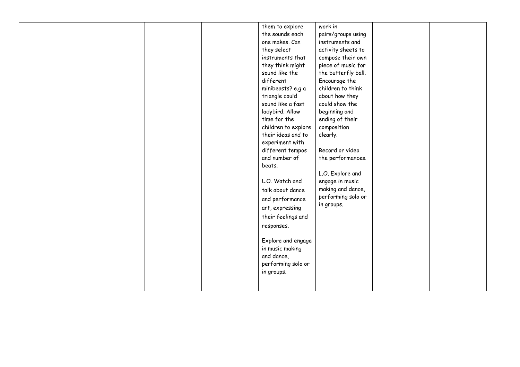| them to explore<br>work in<br>the sounds each<br>pairs/groups using<br>one makes. Can<br>instruments and<br>they select<br>activity sheets to<br>instruments that<br>compose their own<br>they think might<br>piece of music for<br>sound like the<br>the butterfly ball.<br>different<br>Encourage the<br>children to think<br>minibeasts? e.g a<br>about how they<br>triangle could<br>sound like a fast<br>could show the<br>ladybird. Allow<br>beginning and<br>time for the<br>ending of their<br>children to explore<br>composition<br>their ideas and to<br>clearly.<br>experiment with |
|------------------------------------------------------------------------------------------------------------------------------------------------------------------------------------------------------------------------------------------------------------------------------------------------------------------------------------------------------------------------------------------------------------------------------------------------------------------------------------------------------------------------------------------------------------------------------------------------|
| Record or video<br>different tempos<br>and number of<br>the performances.<br>beats.<br>L.O. Explore and<br>L.O. Watch and<br>engage in music<br>making and dance,<br>talk about dance<br>performing solo or<br>and performance<br>in groups.<br>art, expressing<br>their feelings and<br>responses.<br>Explore and engage<br>in music making<br>and dance,<br>performing solo or<br>in groups.                                                                                                                                                                                                 |